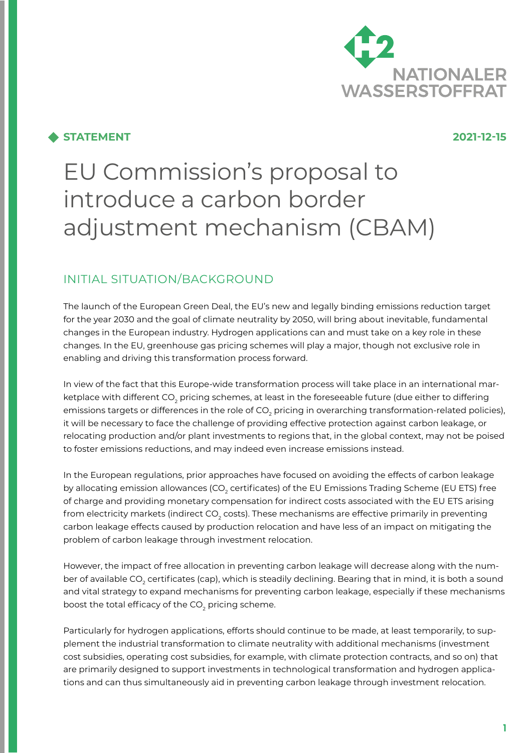

## **STATEMENT 2021-12-15**

# EU Commission's proposal to introduce a carbon border adjustment mechanism (CBAM)

# INITIAL SITUATION/BACKGROUND

The launch of the European Green Deal, the EU's new and legally binding emissions reduction target for the year 2030 and the goal of climate neutrality by 2050, will bring about inevitable, fundamental changes in the European industry. Hydrogen applications can and must take on a key role in these changes. In the EU, greenhouse gas pricing schemes will play a major, though not exclusive role in enabling and driving this transformation process forward.

In view of the fact that this Europe-wide transformation process will take place in an international marketplace with different CO<sub>2</sub> pricing schemes, at least in the foreseeable future (due either to differing emissions targets or differences in the role of CO $_{\rm 2}$  pricing in overarching transformation-related policies), it will be necessary to face the challenge of providing effective protection against carbon leakage, or relocating production and/or plant investments to regions that, in the global context, may not be poised to foster emissions reductions, and may indeed even increase emissions instead.

In the European regulations, prior approaches have focused on avoiding the effects of carbon leakage by allocating emission allowances (CO $_{\rm 2}$  certificates) of the EU Emissions Trading Scheme (EU ETS) free of charge and providing monetary compensation for indirect costs associated with the EU ETS arising from electricity markets (indirect CO<sub>2</sub> costs). These mechanisms are effective primarily in preventing carbon leakage effects caused by production relocation and have less of an impact on mitigating the problem of carbon leakage through investment relocation.

However, the impact of free allocation in preventing carbon leakage will decrease along with the number of available CO<sub>2</sub> certificates (cap), which is steadily declining. Bearing that in mind, it is both a sound and vital strategy to expand mechanisms for preventing carbon leakage, especially if these mechanisms boost the total efficacy of the CO $_{\textrm{\tiny{2}}}$  pricing scheme.

Particularly for hydrogen applications, efforts should continue to be made, at least temporarily, to supplement the industrial transformation to climate neutrality with additional mechanisms (investment cost subsidies, operating cost subsidies, for example, with climate protection contracts, and so on) that are primarily designed to support investments in technological transformation and hydrogen applications and can thus simultaneously aid in preventing carbon leakage through investment relocation.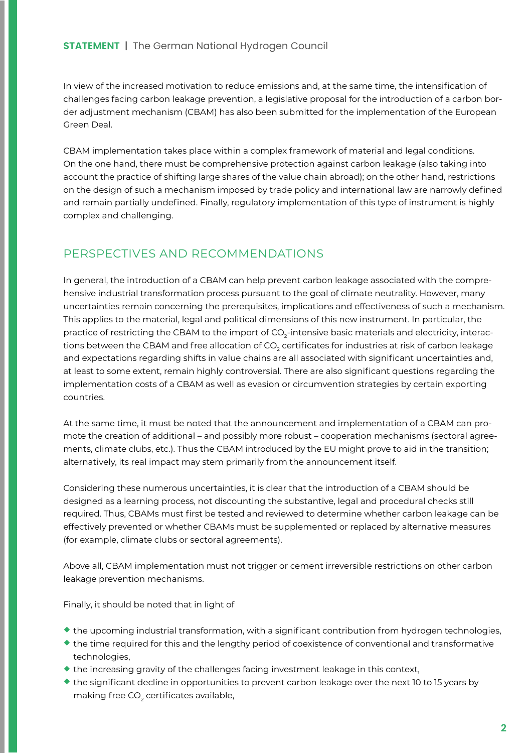### **STATEMENT** | The German National Hydrogen Council

In view of the increased motivation to reduce emissions and, at the same time, the intensification of challenges facing carbon leakage prevention, a legislative proposal for the introduction of a carbon border adjustment mechanism (CBAM) has also been submitted for the implementation of the European Green Deal.

CBAM implementation takes place within a complex framework of material and legal conditions. On the one hand, there must be comprehensive protection against carbon leakage (also taking into account the practice of shifting large shares of the value chain abroad); on the other hand, restrictions on the design of such a mechanism imposed by trade policy and international law are narrowly defined and remain partially undefined. Finally, regulatory implementation of this type of instrument is highly complex and challenging.

# PERSPECTIVES AND RECOMMENDATIONS

In general, the introduction of a CBAM can help prevent carbon leakage associated with the comprehensive industrial transformation process pursuant to the goal of climate neutrality. However, many uncertainties remain concerning the prerequisites, implications and effectiveness of such a mechanism. This applies to the material, legal and political dimensions of this new instrument. In particular, the practice of restricting the CBAM to the import of CO $_2$ -intensive basic materials and electricity, interactions between the CBAM and free allocation of CO $_{\textrm{\tiny{2}}}$  certificates for industries at risk of carbon leakage and expectations regarding shifts in value chains are all associated with significant uncertainties and, at least to some extent, remain highly controversial. There are also significant questions regarding the implementation costs of a CBAM as well as evasion or circumvention strategies by certain exporting countries.

At the same time, it must be noted that the announcement and implementation of a CBAM can promote the creation of additional – and possibly more robust – cooperation mechanisms (sectoral agreements, climate clubs, etc.). Thus the CBAM introduced by the EU might prove to aid in the transition; alternatively, its real impact may stem primarily from the announcement itself.

Considering these numerous uncertainties, it is clear that the introduction of a CBAM should be designed as a learning process, not discounting the substantive, legal and procedural checks still required. Thus, CBAMs must first be tested and reviewed to determine whether carbon leakage can be effectively prevented or whether CBAMs must be supplemented or replaced by alternative measures (for example, climate clubs or sectoral agreements).

Above all, CBAM implementation must not trigger or cement irreversible restrictions on other carbon leakage prevention mechanisms.

Finally, it should be noted that in light of

- ¡ the upcoming industrial transformation, with a significant contribution from hydrogen technologies,
- $\bullet$  the time required for this and the lengthy period of coexistence of conventional and transformative technologies,
- $\bullet$  the increasing gravity of the challenges facing investment leakage in this context,
- ¡ the significant decline in opportunities to prevent carbon leakage over the next 10 to 15 years by making free CO $_{\rm 2}$  certificates available,